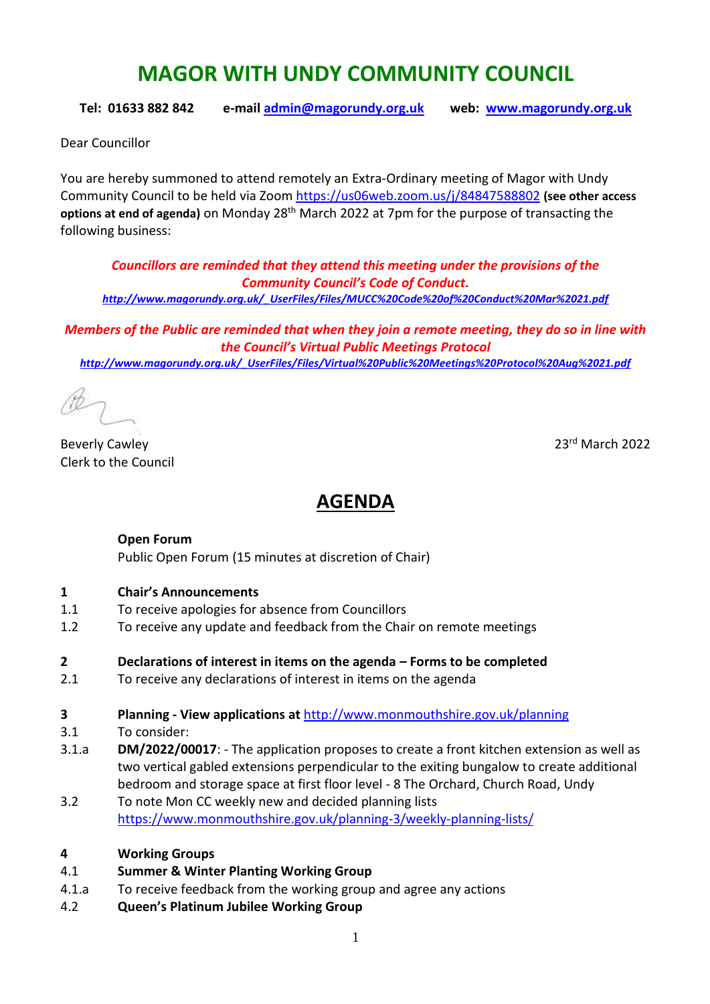# **MAGOR WITH UNDY COMMUNITY COUNCIL**

**Tel: 01633 882 842 e-mail [admin@magorundy.org.uk](mailto:admin@magorundy.org.uk) web: [www.magorundy.org.uk](http://www.magorundy.org.uk/)**

Dear Councillor

You are hereby summoned to attend remotely an Extra-Ordinary meeting of Magor with Undy Community Council to be held via Zoom <https://us06web.zoom.us/j/84847588802> **(see other access options at end of agenda)** on Monday 28th March 2022 at 7pm for the purpose of transacting the following business:

*Councillors are reminded that they attend this meeting under the provisions of the Community Council's Code of Conduct.*

*[http://www.magorundy.org.uk/\\_UserFiles/Files/MUCC%20Code%20of%20Conduct%20Mar%2021.pdf](http://www.magorundy.org.uk/_UserFiles/Files/MUCC%20Code%20of%20Conduct%20Mar%2021.pdf)*

*Members of the Public are reminded that when they join a remote meeting, they do so in line with the Council's Virtual Public Meetings Protocol [http://www.magorundy.org.uk/\\_UserFiles/Files/Virtual%20Public%20Meetings%20Protocol%20Aug%2021.pdf](http://www.magorundy.org.uk/_UserFiles/Files/Virtual%20Public%20Meetings%20Protocol%20Aug%2021.pdf)*

Beverly Cawley 2022 Clerk to the Council

# **AGENDA**

#### **Open Forum**

Public Open Forum (15 minutes at discretion of Chair)

#### **1 Chair's Announcements**

- 1.1 To receive apologies for absence from Councillors
- 1.2 To receive any update and feedback from the Chair on remote meetings
- **2 Declarations of interest in items on the agenda – Forms to be completed**
- 2.1 To receive any declarations of interest in items on the agenda
- **3 Planning - View applications at** <http://www.monmouthshire.gov.uk/planning>
- 3.1 To consider:
- 3.1.a **DM/2022/00017**: The application proposes to create a front kitchen extension as well as two vertical gabled extensions perpendicular to the exiting bungalow to create additional bedroom and storage space at first floor level - 8 The Orchard, Church Road, Undy
- 3.2 To note Mon CC weekly new and decided planning lists <https://www.monmouthshire.gov.uk/planning-3/weekly-planning-lists/>

#### **4 Working Groups**

- 4.1 **Summer & Winter Planting Working Group**
- 4.1.a To receive feedback from the working group and agree any actions
- 4.2 **Queen's Platinum Jubilee Working Group**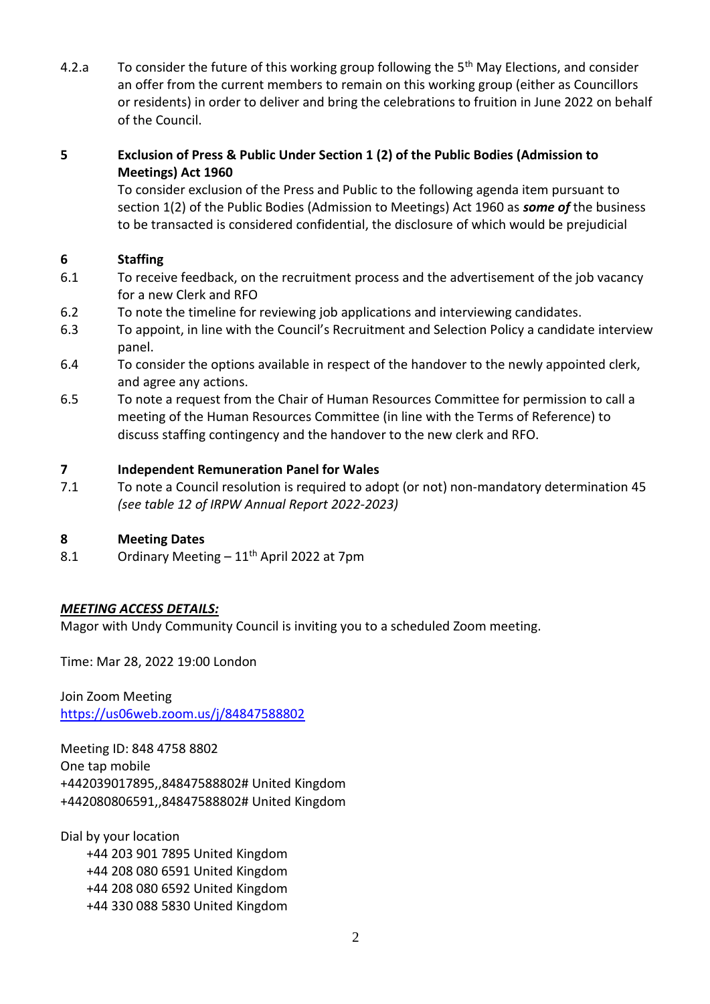4.2.a To consider the future of this working group following the 5<sup>th</sup> May Elections, and consider an offer from the current members to remain on this working group (either as Councillors or residents) in order to deliver and bring the celebrations to fruition in June 2022 on behalf of the Council.

#### **5 Exclusion of Press & Public Under Section 1 (2) of the Public Bodies (Admission to Meetings) Act 1960**

To consider exclusion of the Press and Public to the following agenda item pursuant to section 1(2) of the Public Bodies (Admission to Meetings) Act 1960 as *some of* the business to be transacted is considered confidential, the disclosure of which would be prejudicial

# **6 Staffing**

- 6.1 To receive feedback, on the recruitment process and the advertisement of the job vacancy for a new Clerk and RFO
- 6.2 To note the timeline for reviewing job applications and interviewing candidates.
- 6.3 To appoint, in line with the Council's Recruitment and Selection Policy a candidate interview panel.
- 6.4 To consider the options available in respect of the handover to the newly appointed clerk, and agree any actions.
- 6.5 To note a request from the Chair of Human Resources Committee for permission to call a meeting of the Human Resources Committee (in line with the Terms of Reference) to discuss staffing contingency and the handover to the new clerk and RFO.

# **7 Independent Remuneration Panel for Wales**

7.1 To note a Council resolution is required to adopt (or not) non-mandatory determination 45 *(see table 12 of IRPW Annual Report 2022-2023)*

# **8 Meeting Dates**

8.1 Ordinary Meeting  $-11^{th}$  April 2022 at 7pm

# *MEETING ACCESS DETAILS:*

Magor with Undy Community Council is inviting you to a scheduled Zoom meeting.

Time: Mar 28, 2022 19:00 London

Join Zoom Meeting <https://us06web.zoom.us/j/84847588802>

Meeting ID: 848 4758 8802 One tap mobile +442039017895,,84847588802# United Kingdom +442080806591,,84847588802# United Kingdom

Dial by your location +44 203 901 7895 United Kingdom +44 208 080 6591 United Kingdom +44 208 080 6592 United Kingdom +44 330 088 5830 United Kingdom